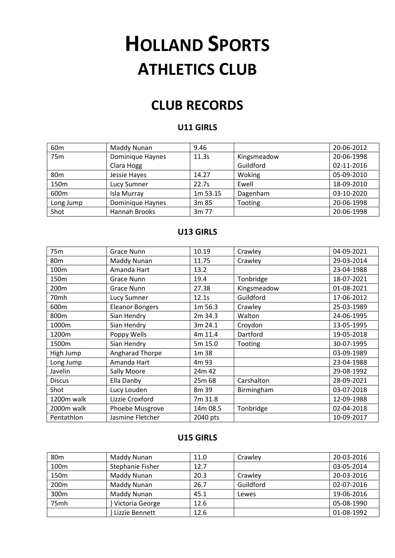# **HOLLAND SPORTS ATHLETICS CLUB**

# **CLUB RECORDS**

#### **U11 GIRLS**

| 60 <sub>m</sub> | Maddy Nunan      | 9.46     |                | 20-06-2012 |
|-----------------|------------------|----------|----------------|------------|
| 75m             | Dominique Haynes | 11.3s    | Kingsmeadow    | 20-06-1998 |
|                 | Clara Hogg       |          | Guildford      | 02-11-2016 |
| 80 <sub>m</sub> | Jessie Hayes     | 14.27    | Woking         | 05-09-2010 |
| 150m            | Lucy Sumner      | 22.7s    | Ewell          | 18-09-2010 |
| 600m            | Isla Murray      | 1m 53.15 | Dagenham       | 03-10-2020 |
| Long Jump       | Dominique Haynes | 3m 85    | <b>Tooting</b> | 20-06-1998 |
| Shot            | Hannah Brooks    | 3m 77    |                | 20-06-1998 |

# **U13 GIRLS**

| 75m             | <b>Grace Nunn</b>      | 10.19    | Crawley     | 04-09-2021 |
|-----------------|------------------------|----------|-------------|------------|
| 80 <sub>m</sub> | Maddy Nunan            | 11.75    | Crawley     | 29-03-2014 |
| 100m            | Amanda Hart            | 13.2     |             | 23-04-1988 |
| 150m            | Grace Nunn             | 19.4     | Tonbridge   | 18-07-2021 |
| 200m            | <b>Grace Nunn</b>      | 27.38    | Kingsmeadow | 01-08-2021 |
| 70mh            | Lucy Sumner            | 12.1s    | Guildford   | 17-06-2012 |
| 600m            | <b>Eleanor Bongers</b> | 1m 56.3  | Crawley     | 25-03-1989 |
| 800m            | Sian Hendry            | 2m 34.3  | Walton      | 24-06-1995 |
| 1000m           | Sian Hendry            | 3m 24.1  | Croydon     | 13-05-1995 |
| 1200m           | Poppy Wells            | 4m 11.4  | Dartford    | 19-05-2018 |
| 1500m           | Sian Hendry            | 5m 15.0  | Tooting     | 30-07-1995 |
| High Jump       | Angharad Thorpe        | 1m 38    |             | 03-09-1989 |
| Long Jump       | Amanda Hart            | 4m 93    |             | 23-04-1988 |
| Javelin         | Sally Moore            | 24m 42   |             | 29-08-1992 |
| <b>Discus</b>   | Ella Danby             | 25m 68   | Carshalton  | 28-09-2021 |
| Shot            | Lucy Louden            | 8m 39    | Birmingham  | 03-07-2018 |
| 1200m walk      | Lizzie Croxford        | 7m 31.8  |             | 12-09-1988 |
| 2000m walk      | Phoebe Musgrove        | 14m 08.5 | Tonbridge   | 02-04-2018 |
| Pentathlon      | Jasmine Fletcher       | 2040 pts |             | 10-09-2017 |

#### **U15 GIRLS**

| 80 <sub>m</sub>  | Maddy Nunan      | 11.0 | Crawley   | 20-03-2016 |
|------------------|------------------|------|-----------|------------|
| 100 <sub>m</sub> | Stephanie Fisher | 12.7 |           | 03-05-2014 |
| 150 <sub>m</sub> | Maddy Nunan      | 20.3 | Crawley   | 20-03-2016 |
| 200m             | Maddy Nunan      | 26.7 | Guildford | 02-07-2016 |
| 300m             | Maddy Nunan      | 45.1 | Lewes     | 19-06-2016 |
| 75mh             | Victoria George  | 12.6 |           | 05-08-1990 |
|                  | Lizzie Bennett   | 12.6 |           | 01-08-1992 |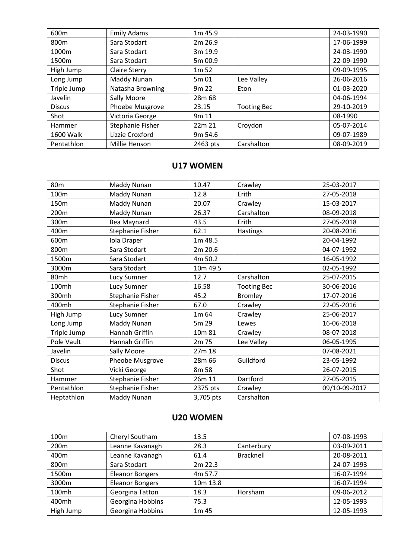| 600m          | <b>Emily Adams</b>   | 1m 45.9          |                    | 24-03-1990 |
|---------------|----------------------|------------------|--------------------|------------|
| 800m          | Sara Stodart         | 2m 26.9          |                    | 17-06-1999 |
| 1000m         | Sara Stodart         | 3m 19.9          |                    | 24-03-1990 |
| 1500m         | Sara Stodart         | 5m 00.9          |                    | 22-09-1990 |
| High Jump     | <b>Claire Sterry</b> | 1m <sub>52</sub> |                    | 09-09-1995 |
| Long Jump     | Maddy Nunan          | 5m 01            | Lee Valley         | 26-06-2016 |
| Triple Jump   | Natasha Browning     | 9m <sub>22</sub> | Eton               | 01-03-2020 |
| Javelin       | Sally Moore          | 28m 68           |                    | 04-06-1994 |
| <b>Discus</b> | Phoebe Musgrove      | 23.15            | <b>Tooting Bec</b> | 29-10-2019 |
| Shot          | Victoria George      | 9m 11            |                    | 08-1990    |
| Hammer        | Stephanie Fisher     | 22m 21           | Croydon            | 05-07-2014 |
| 1600 Walk     | Lizzie Croxford      | 9m 54.6          |                    | 09-07-1989 |
| Pentathlon    | Millie Henson        | 2463 pts         | Carshalton         | 08-09-2019 |

# **U17 WOMEN**

| 80 <sub>m</sub>  | Maddy Nunan      | 10.47     | Crawley            | 25-03-2017    |
|------------------|------------------|-----------|--------------------|---------------|
| 100 <sub>m</sub> | Maddy Nunan      | 12.8      | Erith              | 27-05-2018    |
| 150m             | Maddy Nunan      | 20.07     | Crawley            | 15-03-2017    |
| 200m             | Maddy Nunan      | 26.37     | Carshalton         | 08-09-2018    |
| 300m             | Bea Maynard      | 43.5      | Erith              | 27-05-2018    |
| 400m             | Stephanie Fisher | 62.1      | <b>Hastings</b>    | 20-08-2016    |
| 600m             | Iola Draper      | 1m 48.5   |                    | 20-04-1992    |
| 800m             | Sara Stodart     | 2m 20.6   |                    | 04-07-1992    |
| 1500m            | Sara Stodart     | 4m 50.2   |                    | 16-05-1992    |
| 3000m            | Sara Stodart     | 10m 49.5  |                    | 02-05-1992    |
| 80mh             | Lucy Sumner      | 12.7      | Carshalton         | 25-07-2015    |
| 100mh            | Lucy Sumner      | 16.58     | <b>Tooting Bec</b> | 30-06-2016    |
| 300mh            | Stephanie Fisher | 45.2      | <b>Bromley</b>     | 17-07-2016    |
| 400mh            | Stephanie Fisher | 67.0      | Crawley            | 22-05-2016    |
| High Jump        | Lucy Sumner      | 1m 64     | Crawley            | 25-06-2017    |
| Long Jump        | Maddy Nunan      | 5m 29     | Lewes              | 16-06-2018    |
| Triple Jump      | Hannah Griffin   | 10m 81    | Crawley            | 08-07-2018    |
| Pole Vault       | Hannah Griffin   | 2m 75     | Lee Valley         | 06-05-1995    |
| Javelin          | Sally Moore      | 27m 18    |                    | 07-08-2021    |
| <b>Discus</b>    | Pheobe Musgrove  | 28m 66    | Guildford          | 23-05-1992    |
| Shot             | Vicki George     | 8m 58     |                    | 26-07-2015    |
| Hammer           | Stephanie Fisher | 26m 11    | Dartford           | 27-05-2015    |
| Pentathlon       | Stephanie Fisher | 2375 pts  | Crawley            | 09/10-09-2017 |
| Heptathlon       | Maddy Nunan      | 3,705 pts | Carshalton         |               |

# **U20 WOMEN**

| 100 <sub>m</sub> | Cheryl Southam         | 13.5      |            | 07-08-1993 |
|------------------|------------------------|-----------|------------|------------|
| 200m             | Leanne Kavanagh        | 28.3      | Canterbury | 03-09-2011 |
| 400m             | Leanne Kavanagh        | 61.4      | Bracknell  | 20-08-2011 |
| 800m             | Sara Stodart           | $2m$ 22.3 |            | 24-07-1993 |
| 1500m            | <b>Eleanor Bongers</b> | 4m 57.7   |            | 16-07-1994 |
| 3000m            | <b>Eleanor Bongers</b> | 10m 13.8  |            | 16-07-1994 |
| 100mh            | Georgina Tatton        | 18.3      | Horsham    | 09-06-2012 |
| 400mh            | Georgina Hobbins       | 75.3      |            | 12-05-1993 |
| High Jump        | Georgina Hobbins       | 1m 45     |            | 12-05-1993 |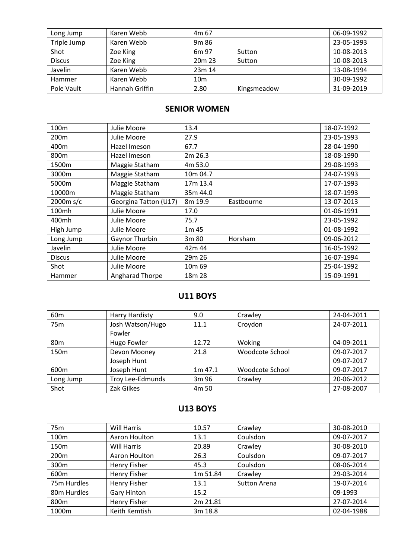| Long Jump     | Karen Webb     | 4m 67              |             | 06-09-1992 |
|---------------|----------------|--------------------|-------------|------------|
| Triple Jump   | Karen Webb     | 9 <sub>m</sub> 86  |             | 23-05-1993 |
| Shot          | Zoe King       | 6 <sub>m</sub> 97  | Sutton      | 10-08-2013 |
| <b>Discus</b> | Zoe King       | 20 <sub>m</sub> 23 | Sutton      | 10-08-2013 |
| Javelin       | Karen Webb     | 23m 14             |             | 13-08-1994 |
| Hammer        | Karen Webb     | 10 <sub>m</sub>    |             | 30-09-1992 |
| Pole Vault    | Hannah Griffin | 2.80               | Kingsmeadow | 31-09-2019 |

# **SENIOR WOMEN**

| 100m          | Julie Moore           | 13.4               |            | 18-07-1992 |
|---------------|-----------------------|--------------------|------------|------------|
| 200m          | Julie Moore           | 27.9               |            | 23-05-1993 |
| 400m          | Hazel Imeson          | 67.7               |            | 28-04-1990 |
| 800m          | Hazel Imeson          | 2m 26.3            |            | 18-08-1990 |
| 1500m         | Maggie Statham        | 4m 53.0            |            | 29-08-1993 |
| 3000m         | Maggie Statham        | 10m 04.7           |            | 24-07-1993 |
| 5000m         | Maggie Statham        | 17m 13.4           |            | 17-07-1993 |
| 10000m        | Maggie Statham        | 35m 44.0           |            | 18-07-1993 |
| 2000m s/c     | Georgina Tatton (U17) | 8m 19.9            | Eastbourne | 13-07-2013 |
| 100mh         | Julie Moore           | 17.0               |            | 01-06-1991 |
| 400mh         | Julie Moore           | 75.7               |            | 23-05-1992 |
| High Jump     | Julie Moore           | 1m 45              |            | 01-08-1992 |
| Long Jump     | Gaynor Thurbin        | 3m 80              | Horsham    | 09-06-2012 |
| Javelin       | Julie Moore           | 42m 44             |            | 16-05-1992 |
| <b>Discus</b> | Julie Moore           | 29m 26             |            | 16-07-1994 |
| Shot          | Julie Moore           | 10 <sub>m</sub> 69 |            | 25-04-1992 |
| Hammer        | Angharad Thorpe       | 18m 28             |            | 15-09-1991 |

# **U11 BOYS**

| 60 <sub>m</sub> | <b>Harry Hardisty</b> | 9.0       | Crawley         | 24-04-2011 |
|-----------------|-----------------------|-----------|-----------------|------------|
| 75 <sub>m</sub> | Josh Watson/Hugo      | 11.1      | Croydon         | 24-07-2011 |
|                 | Fowler                |           |                 |            |
| 80 <sub>m</sub> | Hugo Fowler           | 12.72     | Woking          | 04-09-2011 |
| 150m            | Devon Mooney          | 21.8      | Woodcote School | 09-07-2017 |
|                 | Joseph Hunt           |           |                 | 09-07-2017 |
| 600m            | Joseph Hunt           | $1m$ 47.1 | Woodcote School | 09-07-2017 |
| Long Jump       | Troy Lee-Edmunds      | 3m 96     | Crawley         | 20-06-2012 |
| Shot            | Zak Gilkes            | 4m 50     |                 | 27-08-2007 |

#### **U13 BOYS**

| 75m              | Will Harris         | 10.57    | Crawley      | 30-08-2010 |
|------------------|---------------------|----------|--------------|------------|
| 100 <sub>m</sub> | Aaron Houlton       | 13.1     | Coulsdon     | 09-07-2017 |
| 150 <sub>m</sub> | Will Harris         | 20.89    | Crawley      | 30-08-2010 |
| 200 <sub>m</sub> | Aaron Houlton       | 26.3     | Coulsdon     | 09-07-2017 |
| 300m             | <b>Henry Fisher</b> | 45.3     | Coulsdon     | 08-06-2014 |
| 600m             | <b>Henry Fisher</b> | 1m 51.84 | Crawley      | 29-03-2014 |
| 75m Hurdles      | <b>Henry Fisher</b> | 13.1     | Sutton Arena | 19-07-2014 |
| 80m Hurdles      | <b>Gary Hinton</b>  | 15.2     |              | 09-1993    |
| 800m             | <b>Henry Fisher</b> | 2m 21.81 |              | 27-07-2014 |
| 1000m            | Keith Kemtish       | 3m 18.8  |              | 02-04-1988 |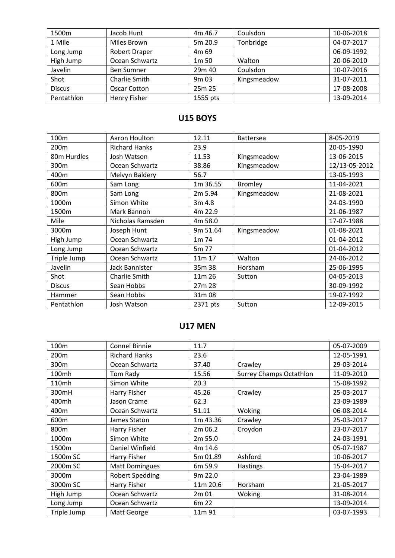| 1500m         | Jacob Hunt           | 4m 46.7           | Coulsdon    | 10-06-2018 |
|---------------|----------------------|-------------------|-------------|------------|
| 1 Mile        | <b>Miles Brown</b>   | 5m 20.9           | Tonbridge   | 04-07-2017 |
| Long Jump     | <b>Robert Draper</b> | 4m 69             |             | 06-09-1992 |
| High Jump     | Ocean Schwartz       | 1 <sub>m</sub> 50 | Walton      | 20-06-2010 |
| Javelin       | <b>Ben Sumner</b>    | 29m 40            | Coulsdon    | 10-07-2016 |
| Shot          | Charlie Smith        | 9 <sub>m</sub> 03 | Kingsmeadow | 31-07-2011 |
| <b>Discus</b> | Oscar Cotton         | 25m 25            |             | 17-08-2008 |
| Pentathlon    | <b>Henry Fisher</b>  | 1555 pts          |             | 13-09-2014 |

# **U15 BOYS**

| 100m          | Aaron Houlton        | 12.11    | <b>Battersea</b> | 8-05-2019     |
|---------------|----------------------|----------|------------------|---------------|
| 200m          | <b>Richard Hanks</b> | 23.9     |                  | 20-05-1990    |
| 80m Hurdles   | Josh Watson          | 11.53    | Kingsmeadow      | 13-06-2015    |
| 300m          | Ocean Schwartz       | 38.86    | Kingsmeadow      | 12/13-05-2012 |
| 400m          | Melvyn Baldery       | 56.7     |                  | 13-05-1993    |
| 600m          | Sam Long             | 1m 36.55 | <b>Bromley</b>   | 11-04-2021    |
| 800m          | Sam Long             | 2m 5.94  | Kingsmeadow      | 21-08-2021    |
| 1000m         | Simon White          | 3m 4.8   |                  | 24-03-1990    |
| 1500m         | Mark Bannon          | 4m 22.9  |                  | 21-06-1987    |
| Mile          | Nicholas Ramsden     | 4m 58.0  |                  | 17-07-1988    |
| 3000m         | Joseph Hunt          | 9m 51.64 | Kingsmeadow      | 01-08-2021    |
| High Jump     | Ocean Schwartz       | 1m 74    |                  | 01-04-2012    |
| Long Jump     | Ocean Schwartz       | 5m 77    |                  | 01-04-2012    |
| Triple Jump   | Ocean Schwartz       | 11m 17   | Walton           | 24-06-2012    |
| Javelin       | Jack Bannister       | 35m 38   | Horsham          | 25-06-1995    |
| Shot          | Charlie Smith        | 11m 26   | Sutton           | 04-05-2013    |
| <b>Discus</b> | Sean Hobbs           | 27m 28   |                  | 30-09-1992    |
| Hammer        | Sean Hobbs           | 31m 08   |                  | 19-07-1992    |
| Pentathlon    | Josh Watson          | 2371 pts | Sutton           | 12-09-2015    |

# **U17 MEN**

| 100 <sub>m</sub> | Connel Binnie          | 11.7     |                                | 05-07-2009 |
|------------------|------------------------|----------|--------------------------------|------------|
| 200m             | <b>Richard Hanks</b>   | 23.6     |                                | 12-05-1991 |
| 300m             | Ocean Schwartz         | 37.40    | Crawley                        | 29-03-2014 |
| 100mh            | Tom Rady               | 15.56    | <b>Surrey Champs Octathlon</b> | 11-09-2010 |
| 110mh            | Simon White            | 20.3     |                                | 15-08-1992 |
| 300mH            | Harry Fisher           | 45.26    | Crawley                        | 25-03-2017 |
| 400mh            | Jason Crame            | 62.3     |                                | 23-09-1989 |
| 400m             | Ocean Schwartz         | 51.11    | Woking                         | 06-08-2014 |
| 600m             | James Staton           | 1m 43.36 | Crawley                        | 25-03-2017 |
| 800m             | Harry Fisher           | 2m 06.2  | Croydon                        | 23-07-2017 |
| 1000m            | Simon White            | 2m 55.0  |                                | 24-03-1991 |
| 1500m            | Daniel Winfield        | 4m 14.6  |                                | 05-07-1987 |
| 1500m SC         | Harry Fisher           | 5m 01.89 | Ashford                        | 10-06-2017 |
| 2000m SC         | <b>Matt Domingues</b>  | 6m 59.9  | Hastings                       | 15-04-2017 |
| 3000m            | <b>Robert Spedding</b> | 9m 22.0  |                                | 23-04-1989 |
| 3000m SC         | Harry Fisher           | 11m 20.6 | Horsham                        | 21-05-2017 |
| High Jump        | Ocean Schwartz         | 2m 01    | Woking                         | 31-08-2014 |
| Long Jump        | Ocean Schwartz         | 6m 22    |                                | 13-09-2014 |
| Triple Jump      | Matt George            | 11m 91   |                                | 03-07-1993 |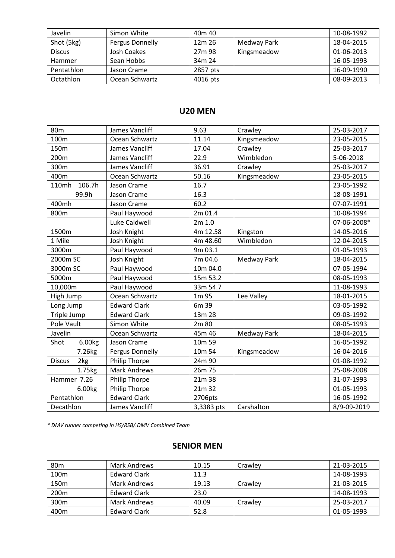| Javelin       | Simon White            | 40 <sub>m</sub> 40 |             | 10-08-1992 |
|---------------|------------------------|--------------------|-------------|------------|
| Shot (5kg)    | <b>Fergus Donnelly</b> | 12m 26             | Medway Park | 18-04-2015 |
| <b>Discus</b> | Josh Coakes            | 27m 98             | Kingsmeadow | 01-06-2013 |
| Hammer        | Sean Hobbs             | 34m 24             |             | 16-05-1993 |
| Pentathlon    | Jason Crame            | 2857 pts           |             | 16-09-1990 |
| Octathlon     | Ocean Schwartz         | 4016 pts           |             | 08-09-2013 |

# **U20 MEN**

| 80 <sub>m</sub>      | James Vancliff         | 9.63       | Crawley     | 25-03-2017  |
|----------------------|------------------------|------------|-------------|-------------|
| 100m                 | Ocean Schwartz         | 11.14      | Kingsmeadow | 23-05-2015  |
| 150m                 | James Vancliff         | 17.04      | Crawley     | 25-03-2017  |
| 200m                 | James Vancliff         | 22.9       | Wimbledon   | 5-06-2018   |
| 300m                 | James Vancliff         | 36.91      | Crawley     | 25-03-2017  |
| 400m                 | Ocean Schwartz         | 50.16      | Kingsmeadow | 23-05-2015  |
| 110mh<br>106.7h      | Jason Crame            | 16.7       |             | 23-05-1992  |
| 99.9h                | Jason Crame            | 16.3       |             | 18-08-1991  |
| 400mh                | Jason Crame            | 60.2       |             | 07-07-1991  |
| 800m                 | Paul Haywood           | 2m 01.4    |             | 10-08-1994  |
|                      | Luke Caldwell          | 2m 1.0     |             | 07-06-2008* |
| 1500m                | Josh Knight            | 4m 12.58   | Kingston    | 14-05-2016  |
| 1 Mile               | Josh Knight            | 4m 48.60   | Wimbledon   | 12-04-2015  |
| 3000m                | Paul Haywood           | 9m 03.1    |             | 01-05-1993  |
| 2000m SC             | Josh Knight            | 7m 04.6    | Medway Park | 18-04-2015  |
| 3000m SC             | Paul Haywood           | 10m 04.0   |             | 07-05-1994  |
| 5000m                | Paul Haywood           | 15m 53.2   |             | 08-05-1993  |
| 10,000m              | Paul Haywood           | 33m 54.7   |             | 11-08-1993  |
| High Jump            | Ocean Schwartz         | 1m 95      | Lee Valley  | 18-01-2015  |
| Long Jump            | <b>Edward Clark</b>    | 6m 39      |             | 03-05-1992  |
| Triple Jump          | <b>Edward Clark</b>    | 13m 28     |             | 09-03-1992  |
| Pole Vault           | Simon White            | 2m 80      |             | 08-05-1993  |
| Javelin              | Ocean Schwartz         | 45m 46     | Medway Park | 18-04-2015  |
| 6.00kg<br>Shot       | Jason Crame            | 10m 59     |             | 16-05-1992  |
| 7.26kg               | <b>Fergus Donnelly</b> | 10m 54     | Kingsmeadow | 16-04-2016  |
| <b>Discus</b><br>2kg | Philip Thorpe          | 24m 90     |             | 01-08-1992  |
| 1.75kg               | <b>Mark Andrews</b>    | 26m 75     |             | 25-08-2008  |
| Hammer 7.26          | <b>Philip Thorpe</b>   | 21m 38     |             | 31-07-1993  |
| 6.00kg               | <b>Philip Thorpe</b>   | 21m 32     |             | 01-05-1993  |
| Pentathlon           | <b>Edward Clark</b>    | 2706pts    |             | 16-05-1992  |
| Decathlon            | James Vancliff         | 3,3383 pts | Carshalton  | 8/9-09-2019 |

*\* DMV runner competing in HS/RSB/.DMV Combined Team*

# **SENIOR MEN**

| 80 <sub>m</sub>  | Mark Andrews        | 10.15 | Crawley | 21-03-2015 |
|------------------|---------------------|-------|---------|------------|
| 100m             | <b>Edward Clark</b> | 11.3  |         | 14-08-1993 |
| 150m             | Mark Andrews        | 19.13 | Crawley | 21-03-2015 |
| 200 <sub>m</sub> | <b>Edward Clark</b> | 23.0  |         | 14-08-1993 |
| 300m             | Mark Andrews        | 40.09 | Crawley | 25-03-2017 |
| 400m             | <b>Edward Clark</b> | 52.8  |         | 01-05-1993 |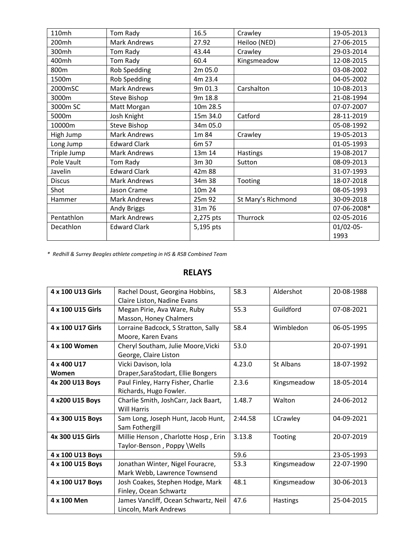| 110mh         | Tom Rady            | 16.5      | Crawley            | 19-05-2013  |
|---------------|---------------------|-----------|--------------------|-------------|
| 200mh         | <b>Mark Andrews</b> | 27.92     | Heiloo (NED)       | 27-06-2015  |
| 300mh         | Tom Rady            | 43.44     | Crawley            | 29-03-2014  |
| 400mh         | Tom Rady            | 60.4      | Kingsmeadow        | 12-08-2015  |
| 800m          | Rob Spedding        | 2m 05.0   |                    | 03-08-2002  |
| 1500m         | Rob Spedding        | 4m 23.4   |                    | 04-05-2002  |
| 2000mSC       | <b>Mark Andrews</b> | 9m 01.3   | Carshalton         | 10-08-2013  |
| 3000m         | <b>Steve Bishop</b> | 9m 18.8   |                    | 21-08-1994  |
| 3000m SC      | Matt Morgan         | 10m 28.5  |                    | 07-07-2007  |
| 5000m         | Josh Knight         | 15m 34.0  | Catford            | 28-11-2019  |
| 10000m        | Steve Bishop        | 34m 05.0  |                    | 05-08-1992  |
| High Jump     | <b>Mark Andrews</b> | 1m 84     | Crawley            | 19-05-2013  |
| Long Jump     | <b>Edward Clark</b> | 6m 57     |                    | 01-05-1993  |
| Triple Jump   | Mark Andrews        | 13m 14    | Hastings           | 19-08-2017  |
| Pole Vault    | Tom Rady            | 3m 30     | Sutton             | 08-09-2013  |
| Javelin       | <b>Edward Clark</b> | 42m 88    |                    | 31-07-1993  |
| <b>Discus</b> | <b>Mark Andrews</b> | 34m 38    | Tooting            | 18-07-2018  |
| Shot          | Jason Crame         | 10m 24    |                    | 08-05-1993  |
| Hammer        | <b>Mark Andrews</b> | 25m 92    | St Mary's Richmond | 30-09-2018  |
|               | Andy Briggs         | 31m 76    |                    | 07-06-2008* |
| Pentathlon    | <b>Mark Andrews</b> | 2,275 pts | Thurrock           | 02-05-2016  |
| Decathlon     | <b>Edward Clark</b> | 5,195 pts |                    | 01/02-05-   |
|               |                     |           |                    | 1993        |

*\* Redhill & Surrey Beagles athlete competing in HS & RSB Combined Team*

#### **RELAYS**

| 4 x 100 U13 Girls                                   | Rachel Doust, Georgina Hobbins,      | 58.3    | Aldershot   | 20-08-1988 |
|-----------------------------------------------------|--------------------------------------|---------|-------------|------------|
|                                                     | Claire Liston, Nadine Evans          |         |             |            |
| 4 x 100 U15 Girls                                   | Megan Pirie, Ava Ware, Ruby          | 55.3    | Guildford   | 07-08-2021 |
|                                                     | Masson, Honey Chalmers               |         |             |            |
| 4 x 100 U17 Girls                                   | Lorraine Badcock, S Stratton, Sally  | 58.4    | Wimbledon   | 06-05-1995 |
| Moore, Karen Evans                                  |                                      |         |             |            |
| 4 x 100 Women<br>Cheryl Southam, Julie Moore, Vicki |                                      | 53.0    |             | 20-07-1991 |
| George, Claire Liston                               |                                      |         |             |            |
| 4 x 400 U17                                         | Vicki Davison, Iola                  | 4.23.0  | St Albans   | 18-07-1992 |
| Women                                               | Draper, Sara Stodart, Ellie Bongers  |         |             |            |
| 4x 200 U13 Boys                                     | Paul Finley, Harry Fisher, Charlie   | 2.3.6   | Kingsmeadow | 18-05-2014 |
|                                                     | Richards, Hugo Fowler.               |         |             |            |
| 4 x200 U15 Boys                                     | Charlie Smith, JoshCarr, Jack Baart, | 1.48.7  | Walton      | 24-06-2012 |
|                                                     | <b>Will Harris</b>                   |         |             |            |
| 4 x 300 U15 Boys                                    | Sam Long, Joseph Hunt, Jacob Hunt,   | 2:44.58 | LCrawley    | 04-09-2021 |
|                                                     | Sam Fothergill                       |         |             |            |
| 4x 300 U15 Girls                                    | Millie Henson, Charlotte Hosp, Erin  | 3.13.8  | Tooting     | 20-07-2019 |
|                                                     | Taylor-Benson, Poppy \Wells          |         |             |            |
| 4 x 100 U13 Boys                                    |                                      | 59.6    |             | 23-05-1993 |
| 4 x 100 U15 Boys                                    | Jonathan Winter, Nigel Fouracre,     | 53.3    | Kingsmeadow | 22-07-1990 |
|                                                     | Mark Webb, Lawrence Townsend         |         |             |            |
| 4 x 100 U17 Boys                                    | Josh Coakes, Stephen Hodge, Mark     | 48.1    | Kingsmeadow | 30-06-2013 |
|                                                     | Finley, Ocean Schwartz               |         |             |            |
| 4 x 100 Men                                         | James Vancliff, Ocean Schwartz, Neil | 47.6    | Hastings    | 25-04-2015 |
|                                                     | Lincoln, Mark Andrews                |         |             |            |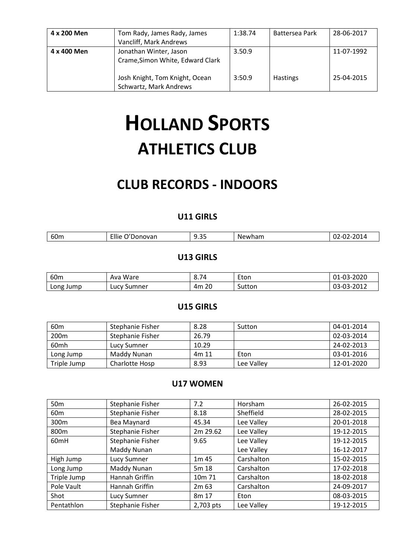| 4 x 200 Men | Tom Rady, James Rady, James<br>Vancliff, Mark Andrews      | 1:38.74 | Battersea Park  | 28-06-2017 |
|-------------|------------------------------------------------------------|---------|-----------------|------------|
| 4 x 400 Men | Jonathan Winter, Jason<br>Crame, Simon White, Edward Clark | 3.50.9  |                 | 11-07-1992 |
|             | Josh Knight, Tom Knight, Ocean<br>Schwartz, Mark Andrews   | 3:50.9  | <b>Hastings</b> | 25-04-2015 |

# **HOLLAND SPORTS ATHLETICS CLUB**

# **CLUB RECORDS - INDOORS**

## **U11 GIRLS**

| 60m | $-11$<br>ovan<br>. JOID C<br>ше | $\sim$ $\sim$<br>u<br>- 35<br>ر. ر | $\sim$ $\sim$<br>NΡ<br>'Wildli' |  |
|-----|---------------------------------|------------------------------------|---------------------------------|--|
|     |                                 |                                    |                                 |  |

#### **U13 GIRLS**

| 60 <sub>m</sub> | Ware<br>Ava                   | 8.74  | Eton   | 01-03-2020 |
|-----------------|-------------------------------|-------|--------|------------|
| Long Jump       | <sup>.</sup> Sumner<br>∟ucv ' | 4m 20 | Sutton | 03-03-2012 |

#### **U15 GIRLS**

| 60 <sub>m</sub>  | Stephanie Fisher | 8.28  | Sutton     | 04-01-2014 |
|------------------|------------------|-------|------------|------------|
| 200 <sub>m</sub> | Stephanie Fisher | 26.79 |            | 02-03-2014 |
| 60mh             | Lucy Sumner      | 10.29 |            | 24-02-2013 |
| Long Jump        | Maddy Nunan      | 4m 11 | Eton       | 03-01-2016 |
| Triple Jump      | Charlotte Hosp   | 8.93  | Lee Valley | 12-01-2020 |

#### **U17 WOMEN**

| 50 <sub>m</sub>  | Stephanie Fisher | 7.2              | Horsham    | 26-02-2015 |
|------------------|------------------|------------------|------------|------------|
| 60 <sub>m</sub>  | Stephanie Fisher | 8.18             | Sheffield  | 28-02-2015 |
| 300m             | Bea Maynard      | 45.34            | Lee Valley | 20-01-2018 |
| 800m             | Stephanie Fisher | 2m 29.62         | Lee Valley | 19-12-2015 |
| 60 <sub>mH</sub> | Stephanie Fisher | 9.65             | Lee Valley | 19-12-2015 |
|                  | Maddy Nunan      |                  | Lee Valley | 16-12-2017 |
| High Jump        | Lucy Sumner      | 1m 45            | Carshalton | 15-02-2015 |
| Long Jump        | Maddy Nunan      | 5m 18            | Carshalton | 17-02-2018 |
| Triple Jump      | Hannah Griffin   | 10m 71           | Carshalton | 18-02-2018 |
| Pole Vault       | Hannah Griffin   | 2m <sub>63</sub> | Carshalton | 24-09-2017 |
| Shot             | Lucy Sumner      | 8m 17            | Eton       | 08-03-2015 |
| Pentathlon       | Stephanie Fisher | 2,703 pts        | Lee Valley | 19-12-2015 |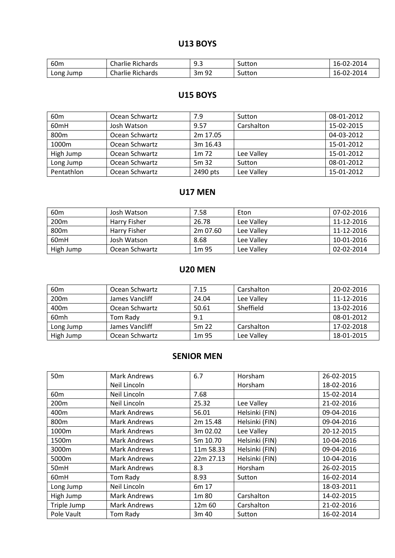## **U13 BOYS**

| 60 <sub>m</sub> | Charlie<br>-<br>Richards | Q 2<br> | Sutton | 02-2014<br>$10 -$ |
|-----------------|--------------------------|---------|--------|-------------------|
| Long<br>Jump    | Charlie<br>Richards      | 3m 92   | Sutton | J2-2014<br>$10 -$ |

# **U15 BOYS**

| 60 <sub>m</sub> | Ocean Schwartz | 7.9              | Sutton     | 08-01-2012 |
|-----------------|----------------|------------------|------------|------------|
| 60mH            | Josh Watson    | 9.57             | Carshalton | 15-02-2015 |
| 800m            | Ocean Schwartz | 2m 17.05         |            | 04-03-2012 |
| 1000m           | Ocean Schwartz | 3m 16.43         |            | 15-01-2012 |
| High Jump       | Ocean Schwartz | 1m <sub>72</sub> | Lee Valley | 15-01-2012 |
| Long Jump       | Ocean Schwartz | 5m 32            | Sutton     | 08-01-2012 |
| Pentathlon      | Ocean Schwartz | 2490 pts         | Lee Valley | 15-01-2012 |

# **U17 MEN**

| 60 <sub>m</sub>  | Josh Watson         | 7.58              | Eton       | 07-02-2016 |
|------------------|---------------------|-------------------|------------|------------|
| 200 <sub>m</sub> | <b>Harry Fisher</b> | 26.78             | Lee Valley | 11-12-2016 |
| 800m             | Harry Fisher        | 2m 07.60          | Lee Valley | 11-12-2016 |
| 60 <sub>mH</sub> | Josh Watson         | 8.68              | Lee Valley | 10-01-2016 |
| High Jump        | Ocean Schwartz      | 1 <sub>m</sub> 95 | Lee Valley | 02-02-2014 |

# **U20 MEN**

| 60 <sub>m</sub>  | Ocean Schwartz | 7.15  | Carshalton | 20-02-2016 |
|------------------|----------------|-------|------------|------------|
| 200m             | James Vancliff | 24.04 | Lee Valley | 11-12-2016 |
| 400m             | Ocean Schwartz | 50.61 | Sheffield  | 13-02-2016 |
| 60 <sub>mh</sub> | Tom Rady       | 9.1   |            | 08-01-2012 |
| Long Jump        | James Vancliff | 5m 22 | Carshalton | 17-02-2018 |
| High Jump        | Ocean Schwartz | 1m 95 | Lee Valley | 18-01-2015 |

# **SENIOR MEN**

| 50 <sub>m</sub>  | Mark Andrews        | 6.7       | Horsham        | 26-02-2015 |
|------------------|---------------------|-----------|----------------|------------|
|                  | Neil Lincoln        |           | Horsham        | 18-02-2016 |
| 60 <sub>m</sub>  | Neil Lincoln        | 7.68      |                | 15-02-2014 |
| 200 <sub>m</sub> | Neil Lincoln        | 25.32     | Lee Valley     | 21-02-2016 |
| 400m             | Mark Andrews        | 56.01     | Helsinki (FIN) | 09-04-2016 |
| 800m             | <b>Mark Andrews</b> | 2m 15.48  | Helsinki (FIN) | 09-04-2016 |
| 1000m            | Mark Andrews        | 3m 02.02  | Lee Valley     | 20-12-2015 |
| 1500m            | Mark Andrews        | 5m 10.70  | Helsinki (FIN) | 10-04-2016 |
| 3000m            | Mark Andrews        | 11m 58.33 | Helsinki (FIN) | 09-04-2016 |
| 5000m            | Mark Andrews        | 22m 27.13 | Helsinki (FIN) | 10-04-2016 |
| 50mH             | Mark Andrews        | 8.3       | Horsham        | 26-02-2015 |
| 60 <sub>mH</sub> | Tom Rady            | 8.93      | Sutton         | 16-02-2014 |
| Long Jump        | Neil Lincoln        | 6m 17     |                | 18-03-2011 |
| High Jump        | Mark Andrews        | 1m 80     | Carshalton     | 14-02-2015 |
| Triple Jump      | Mark Andrews        | 12m 60    | Carshalton     | 21-02-2016 |
| Pole Vault       | Tom Rady            | 3m 40     | Sutton         | 16-02-2014 |